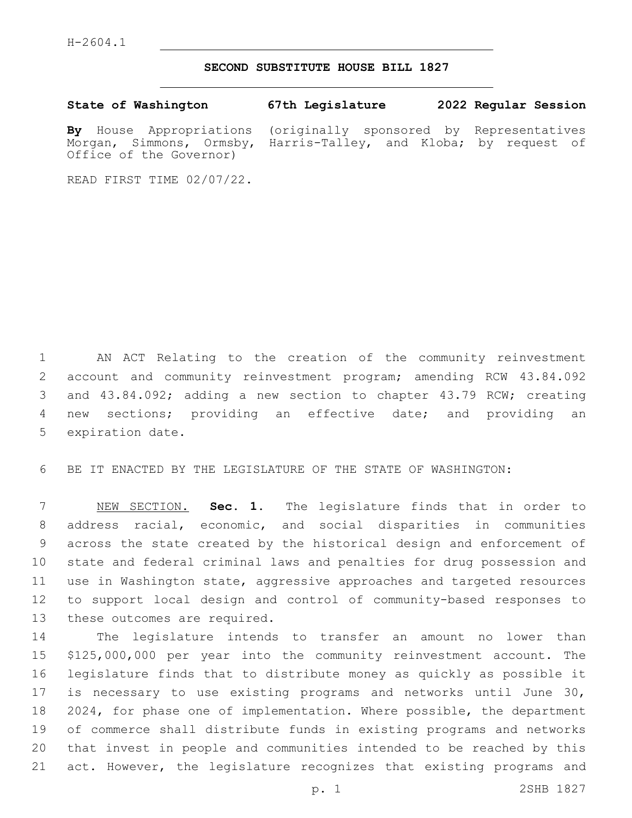H-2604.1

## **SECOND SUBSTITUTE HOUSE BILL 1827**

|  | State of Washington                                              | 67th Legislature |  | 2022 Regular Session |
|--|------------------------------------------------------------------|------------------|--|----------------------|
|  | By House Appropriations (originally sponsored by Representatives |                  |  |                      |

Morgan, Simmons, Ormsby, Harris-Talley, and Kloba; by request of

READ FIRST TIME 02/07/22.

Office of the Governor)

 AN ACT Relating to the creation of the community reinvestment account and community reinvestment program; amending RCW 43.84.092 and 43.84.092; adding a new section to chapter 43.79 RCW; creating new sections; providing an effective date; and providing an 5 expiration date.

BE IT ENACTED BY THE LEGISLATURE OF THE STATE OF WASHINGTON:

 NEW SECTION. **Sec. 1.** The legislature finds that in order to address racial, economic, and social disparities in communities across the state created by the historical design and enforcement of state and federal criminal laws and penalties for drug possession and use in Washington state, aggressive approaches and targeted resources to support local design and control of community-based responses to these outcomes are required.

 The legislature intends to transfer an amount no lower than \$125,000,000 per year into the community reinvestment account. The legislature finds that to distribute money as quickly as possible it is necessary to use existing programs and networks until June 30, 2024, for phase one of implementation. Where possible, the department of commerce shall distribute funds in existing programs and networks that invest in people and communities intended to be reached by this act. However, the legislature recognizes that existing programs and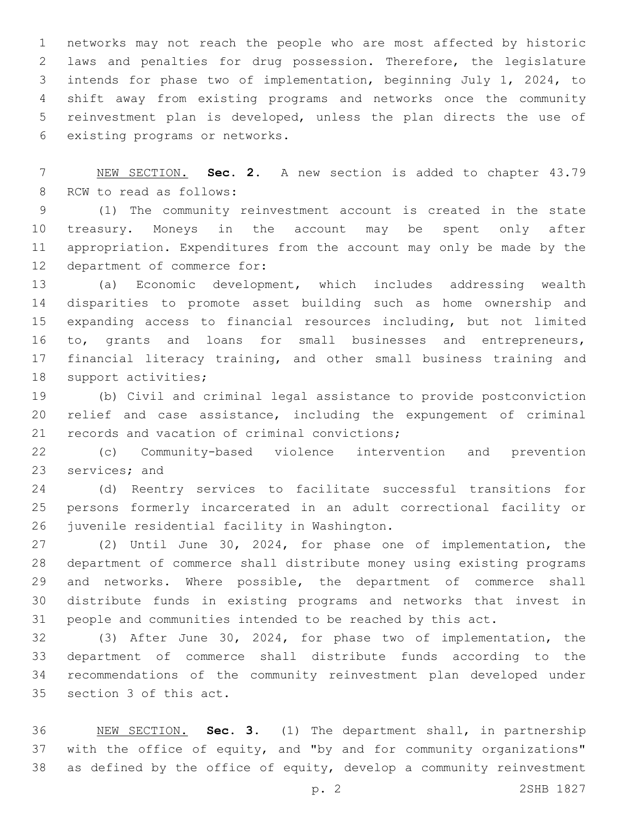networks may not reach the people who are most affected by historic laws and penalties for drug possession. Therefore, the legislature intends for phase two of implementation, beginning July 1, 2024, to shift away from existing programs and networks once the community reinvestment plan is developed, unless the plan directs the use of 6 existing programs or networks.

 NEW SECTION. **Sec. 2.** A new section is added to chapter 43.79 8 RCW to read as follows:

 (1) The community reinvestment account is created in the state treasury. Moneys in the account may be spent only after appropriation. Expenditures from the account may only be made by the 12 department of commerce for:

 (a) Economic development, which includes addressing wealth disparities to promote asset building such as home ownership and expanding access to financial resources including, but not limited to, grants and loans for small businesses and entrepreneurs, 17 financial literacy training, and other small business training and 18 support activities;

 (b) Civil and criminal legal assistance to provide postconviction relief and case assistance, including the expungement of criminal 21 records and vacation of criminal convictions;

 (c) Community-based violence intervention and prevention 23 services; and

 (d) Reentry services to facilitate successful transitions for persons formerly incarcerated in an adult correctional facility or 26 juvenile residential facility in Washington.

 (2) Until June 30, 2024, for phase one of implementation, the department of commerce shall distribute money using existing programs and networks. Where possible, the department of commerce shall distribute funds in existing programs and networks that invest in people and communities intended to be reached by this act.

 (3) After June 30, 2024, for phase two of implementation, the department of commerce shall distribute funds according to the recommendations of the community reinvestment plan developed under 35 section 3 of this act.

 NEW SECTION. **Sec. 3.** (1) The department shall, in partnership with the office of equity, and "by and for community organizations" as defined by the office of equity, develop a community reinvestment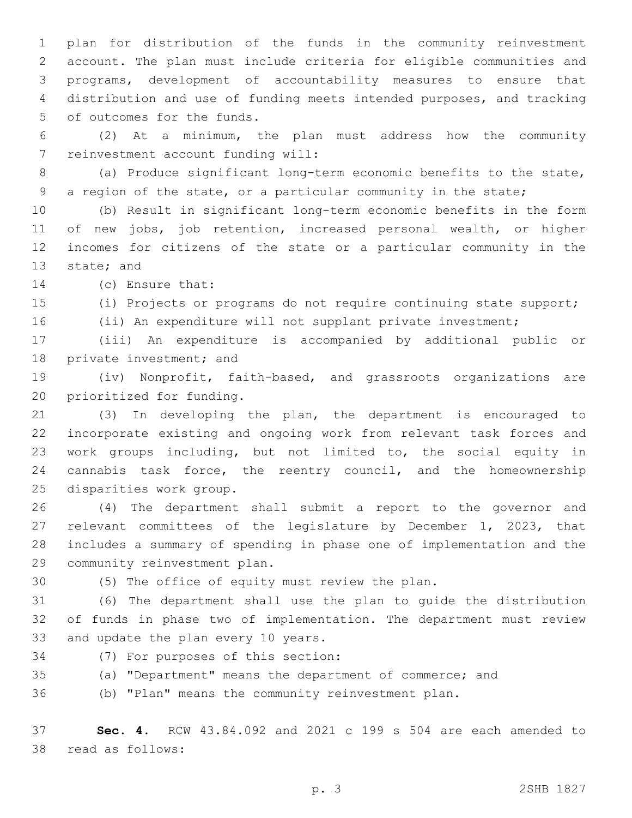plan for distribution of the funds in the community reinvestment account. The plan must include criteria for eligible communities and programs, development of accountability measures to ensure that distribution and use of funding meets intended purposes, and tracking 5 of outcomes for the funds.

 (2) At a minimum, the plan must address how the community 7 reinvestment account funding will:

 (a) Produce significant long-term economic benefits to the state, a region of the state, or a particular community in the state;

 (b) Result in significant long-term economic benefits in the form of new jobs, job retention, increased personal wealth, or higher incomes for citizens of the state or a particular community in the 13 state; and

14 (c) Ensure that:

(i) Projects or programs do not require continuing state support;

16 (ii) An expenditure will not supplant private investment;

 (iii) An expenditure is accompanied by additional public or 18 private investment; and

 (iv) Nonprofit, faith-based, and grassroots organizations are 20 prioritized for funding.

 (3) In developing the plan, the department is encouraged to incorporate existing and ongoing work from relevant task forces and work groups including, but not limited to, the social equity in cannabis task force, the reentry council, and the homeownership 25 disparities work group.

 (4) The department shall submit a report to the governor and relevant committees of the legislature by December 1, 2023, that includes a summary of spending in phase one of implementation and the 29 community reinvestment plan.

(5) The office of equity must review the plan.

 (6) The department shall use the plan to guide the distribution of funds in phase two of implementation. The department must review 33 and update the plan every 10 years.

34 (7) For purposes of this section:

(a) "Department" means the department of commerce; and

(b) "Plan" means the community reinvestment plan.

 **Sec. 4.** RCW 43.84.092 and 2021 c 199 s 504 are each amended to 38 read as follows: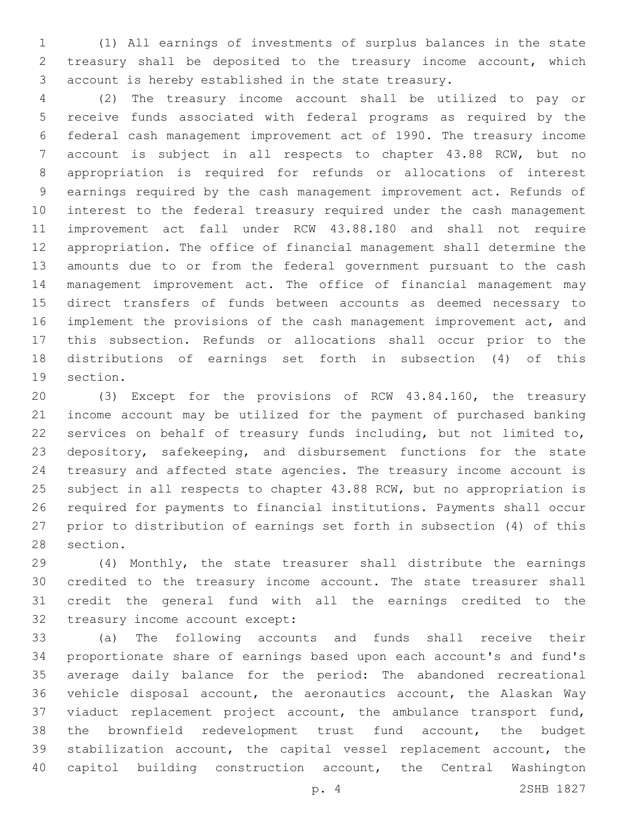(1) All earnings of investments of surplus balances in the state treasury shall be deposited to the treasury income account, which account is hereby established in the state treasury.

 (2) The treasury income account shall be utilized to pay or receive funds associated with federal programs as required by the federal cash management improvement act of 1990. The treasury income account is subject in all respects to chapter 43.88 RCW, but no appropriation is required for refunds or allocations of interest earnings required by the cash management improvement act. Refunds of interest to the federal treasury required under the cash management improvement act fall under RCW 43.88.180 and shall not require appropriation. The office of financial management shall determine the amounts due to or from the federal government pursuant to the cash management improvement act. The office of financial management may direct transfers of funds between accounts as deemed necessary to implement the provisions of the cash management improvement act, and this subsection. Refunds or allocations shall occur prior to the distributions of earnings set forth in subsection (4) of this 19 section.

 (3) Except for the provisions of RCW 43.84.160, the treasury income account may be utilized for the payment of purchased banking services on behalf of treasury funds including, but not limited to, depository, safekeeping, and disbursement functions for the state treasury and affected state agencies. The treasury income account is subject in all respects to chapter 43.88 RCW, but no appropriation is required for payments to financial institutions. Payments shall occur prior to distribution of earnings set forth in subsection (4) of this 28 section.

 (4) Monthly, the state treasurer shall distribute the earnings credited to the treasury income account. The state treasurer shall credit the general fund with all the earnings credited to the 32 treasury income account except:

 (a) The following accounts and funds shall receive their proportionate share of earnings based upon each account's and fund's average daily balance for the period: The abandoned recreational vehicle disposal account, the aeronautics account, the Alaskan Way viaduct replacement project account, the ambulance transport fund, the brownfield redevelopment trust fund account, the budget stabilization account, the capital vessel replacement account, the capitol building construction account, the Central Washington

p. 4 2SHB 1827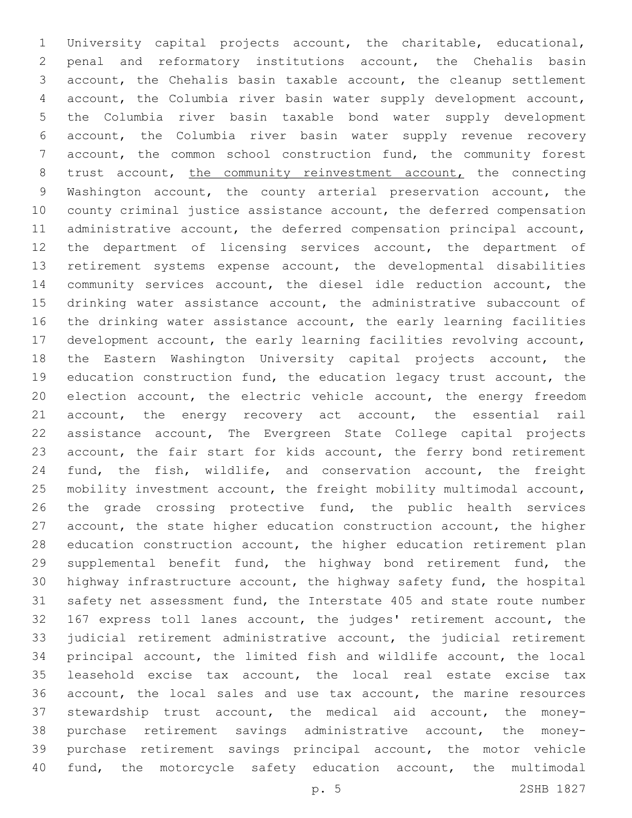University capital projects account, the charitable, educational, penal and reformatory institutions account, the Chehalis basin account, the Chehalis basin taxable account, the cleanup settlement account, the Columbia river basin water supply development account, the Columbia river basin taxable bond water supply development account, the Columbia river basin water supply revenue recovery 7 account, the common school construction fund, the community forest 8 trust account, the community reinvestment account, the connecting Washington account, the county arterial preservation account, the county criminal justice assistance account, the deferred compensation administrative account, the deferred compensation principal account, the department of licensing services account, the department of retirement systems expense account, the developmental disabilities community services account, the diesel idle reduction account, the drinking water assistance account, the administrative subaccount of the drinking water assistance account, the early learning facilities development account, the early learning facilities revolving account, the Eastern Washington University capital projects account, the education construction fund, the education legacy trust account, the election account, the electric vehicle account, the energy freedom account, the energy recovery act account, the essential rail assistance account, The Evergreen State College capital projects 23 account, the fair start for kids account, the ferry bond retirement fund, the fish, wildlife, and conservation account, the freight mobility investment account, the freight mobility multimodal account, the grade crossing protective fund, the public health services account, the state higher education construction account, the higher education construction account, the higher education retirement plan supplemental benefit fund, the highway bond retirement fund, the highway infrastructure account, the highway safety fund, the hospital safety net assessment fund, the Interstate 405 and state route number 167 express toll lanes account, the judges' retirement account, the judicial retirement administrative account, the judicial retirement principal account, the limited fish and wildlife account, the local leasehold excise tax account, the local real estate excise tax account, the local sales and use tax account, the marine resources stewardship trust account, the medical aid account, the money- purchase retirement savings administrative account, the money- purchase retirement savings principal account, the motor vehicle fund, the motorcycle safety education account, the multimodal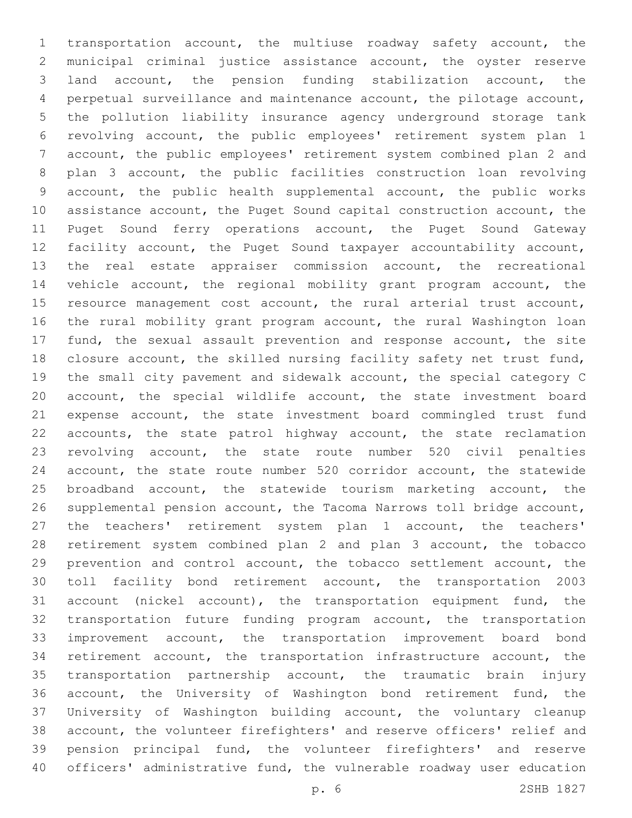transportation account, the multiuse roadway safety account, the municipal criminal justice assistance account, the oyster reserve land account, the pension funding stabilization account, the perpetual surveillance and maintenance account, the pilotage account, the pollution liability insurance agency underground storage tank revolving account, the public employees' retirement system plan 1 account, the public employees' retirement system combined plan 2 and plan 3 account, the public facilities construction loan revolving account, the public health supplemental account, the public works assistance account, the Puget Sound capital construction account, the Puget Sound ferry operations account, the Puget Sound Gateway facility account, the Puget Sound taxpayer accountability account, the real estate appraiser commission account, the recreational vehicle account, the regional mobility grant program account, the resource management cost account, the rural arterial trust account, the rural mobility grant program account, the rural Washington loan fund, the sexual assault prevention and response account, the site closure account, the skilled nursing facility safety net trust fund, the small city pavement and sidewalk account, the special category C account, the special wildlife account, the state investment board expense account, the state investment board commingled trust fund accounts, the state patrol highway account, the state reclamation revolving account, the state route number 520 civil penalties account, the state route number 520 corridor account, the statewide broadband account, the statewide tourism marketing account, the supplemental pension account, the Tacoma Narrows toll bridge account, the teachers' retirement system plan 1 account, the teachers' retirement system combined plan 2 and plan 3 account, the tobacco prevention and control account, the tobacco settlement account, the toll facility bond retirement account, the transportation 2003 account (nickel account), the transportation equipment fund, the transportation future funding program account, the transportation improvement account, the transportation improvement board bond retirement account, the transportation infrastructure account, the transportation partnership account, the traumatic brain injury account, the University of Washington bond retirement fund, the University of Washington building account, the voluntary cleanup account, the volunteer firefighters' and reserve officers' relief and pension principal fund, the volunteer firefighters' and reserve officers' administrative fund, the vulnerable roadway user education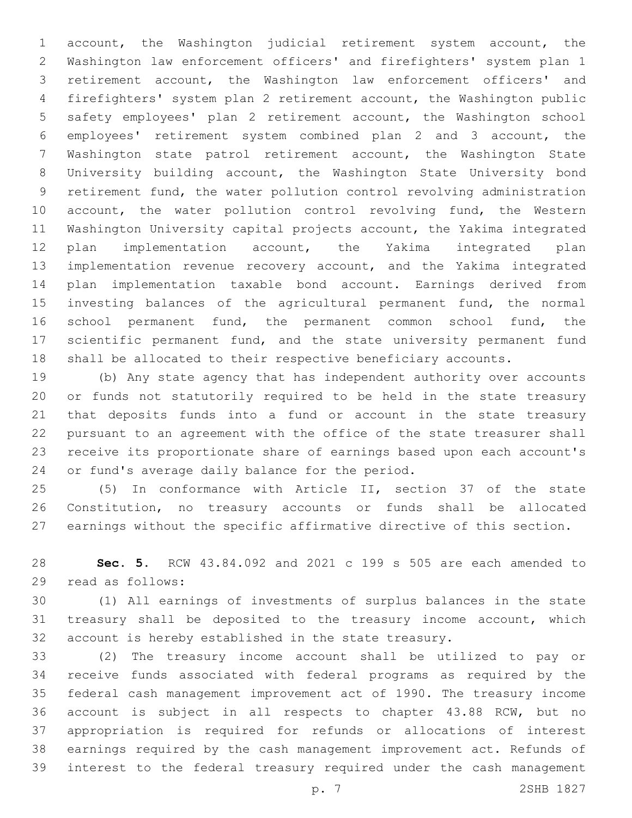account, the Washington judicial retirement system account, the Washington law enforcement officers' and firefighters' system plan 1 retirement account, the Washington law enforcement officers' and firefighters' system plan 2 retirement account, the Washington public safety employees' plan 2 retirement account, the Washington school employees' retirement system combined plan 2 and 3 account, the Washington state patrol retirement account, the Washington State University building account, the Washington State University bond retirement fund, the water pollution control revolving administration 10 account, the water pollution control revolving fund, the Western Washington University capital projects account, the Yakima integrated plan implementation account, the Yakima integrated plan implementation revenue recovery account, and the Yakima integrated plan implementation taxable bond account. Earnings derived from investing balances of the agricultural permanent fund, the normal school permanent fund, the permanent common school fund, the scientific permanent fund, and the state university permanent fund shall be allocated to their respective beneficiary accounts.

 (b) Any state agency that has independent authority over accounts or funds not statutorily required to be held in the state treasury that deposits funds into a fund or account in the state treasury pursuant to an agreement with the office of the state treasurer shall receive its proportionate share of earnings based upon each account's 24 or fund's average daily balance for the period.

 (5) In conformance with Article II, section 37 of the state Constitution, no treasury accounts or funds shall be allocated earnings without the specific affirmative directive of this section.

 **Sec. 5.** RCW 43.84.092 and 2021 c 199 s 505 are each amended to 29 read as follows:

 (1) All earnings of investments of surplus balances in the state treasury shall be deposited to the treasury income account, which account is hereby established in the state treasury.

 (2) The treasury income account shall be utilized to pay or receive funds associated with federal programs as required by the federal cash management improvement act of 1990. The treasury income account is subject in all respects to chapter 43.88 RCW, but no appropriation is required for refunds or allocations of interest earnings required by the cash management improvement act. Refunds of interest to the federal treasury required under the cash management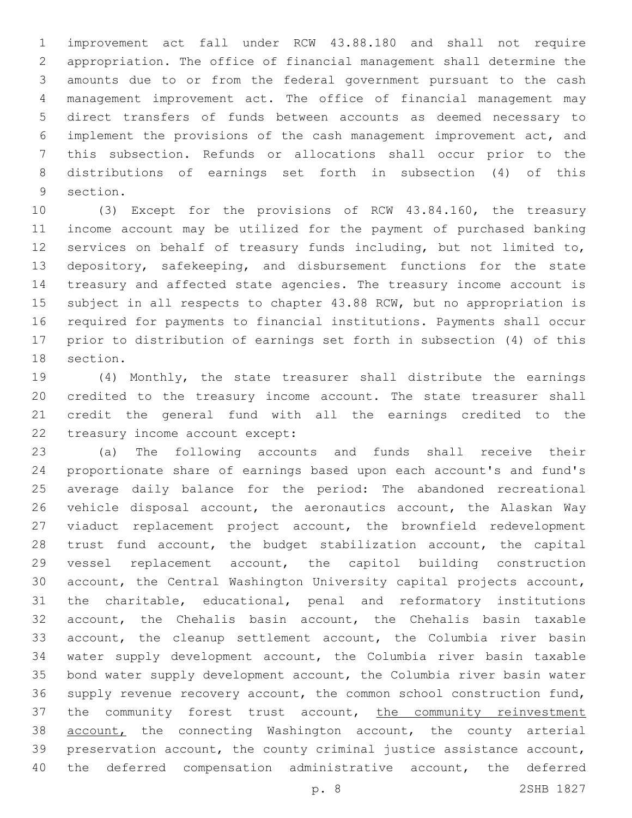improvement act fall under RCW 43.88.180 and shall not require appropriation. The office of financial management shall determine the amounts due to or from the federal government pursuant to the cash management improvement act. The office of financial management may direct transfers of funds between accounts as deemed necessary to implement the provisions of the cash management improvement act, and this subsection. Refunds or allocations shall occur prior to the distributions of earnings set forth in subsection (4) of this 9 section.

 (3) Except for the provisions of RCW 43.84.160, the treasury income account may be utilized for the payment of purchased banking services on behalf of treasury funds including, but not limited to, depository, safekeeping, and disbursement functions for the state treasury and affected state agencies. The treasury income account is subject in all respects to chapter 43.88 RCW, but no appropriation is required for payments to financial institutions. Payments shall occur prior to distribution of earnings set forth in subsection (4) of this 18 section.

 (4) Monthly, the state treasurer shall distribute the earnings credited to the treasury income account. The state treasurer shall credit the general fund with all the earnings credited to the 22 treasury income account except:

 (a) The following accounts and funds shall receive their proportionate share of earnings based upon each account's and fund's average daily balance for the period: The abandoned recreational vehicle disposal account, the aeronautics account, the Alaskan Way viaduct replacement project account, the brownfield redevelopment trust fund account, the budget stabilization account, the capital vessel replacement account, the capitol building construction account, the Central Washington University capital projects account, the charitable, educational, penal and reformatory institutions account, the Chehalis basin account, the Chehalis basin taxable account, the cleanup settlement account, the Columbia river basin water supply development account, the Columbia river basin taxable bond water supply development account, the Columbia river basin water supply revenue recovery account, the common school construction fund, 37 the community forest trust account, the community reinvestment **account**, the connecting Washington account, the county arterial preservation account, the county criminal justice assistance account, the deferred compensation administrative account, the deferred

p. 8 2SHB 1827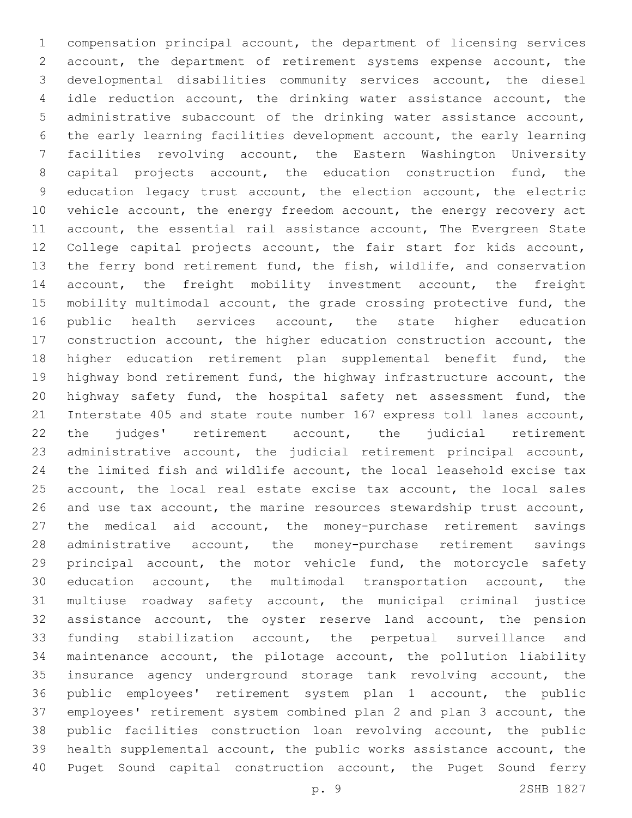compensation principal account, the department of licensing services account, the department of retirement systems expense account, the developmental disabilities community services account, the diesel idle reduction account, the drinking water assistance account, the administrative subaccount of the drinking water assistance account, the early learning facilities development account, the early learning facilities revolving account, the Eastern Washington University capital projects account, the education construction fund, the education legacy trust account, the election account, the electric 10 vehicle account, the energy freedom account, the energy recovery act account, the essential rail assistance account, The Evergreen State College capital projects account, the fair start for kids account, the ferry bond retirement fund, the fish, wildlife, and conservation account, the freight mobility investment account, the freight mobility multimodal account, the grade crossing protective fund, the public health services account, the state higher education construction account, the higher education construction account, the 18 higher education retirement plan supplemental benefit fund, the highway bond retirement fund, the highway infrastructure account, the highway safety fund, the hospital safety net assessment fund, the Interstate 405 and state route number 167 express toll lanes account, the judges' retirement account, the judicial retirement administrative account, the judicial retirement principal account, the limited fish and wildlife account, the local leasehold excise tax account, the local real estate excise tax account, the local sales and use tax account, the marine resources stewardship trust account, the medical aid account, the money-purchase retirement savings administrative account, the money-purchase retirement savings 29 principal account, the motor vehicle fund, the motorcycle safety education account, the multimodal transportation account, the multiuse roadway safety account, the municipal criminal justice assistance account, the oyster reserve land account, the pension funding stabilization account, the perpetual surveillance and maintenance account, the pilotage account, the pollution liability insurance agency underground storage tank revolving account, the public employees' retirement system plan 1 account, the public employees' retirement system combined plan 2 and plan 3 account, the public facilities construction loan revolving account, the public health supplemental account, the public works assistance account, the Puget Sound capital construction account, the Puget Sound ferry

p. 9 2SHB 1827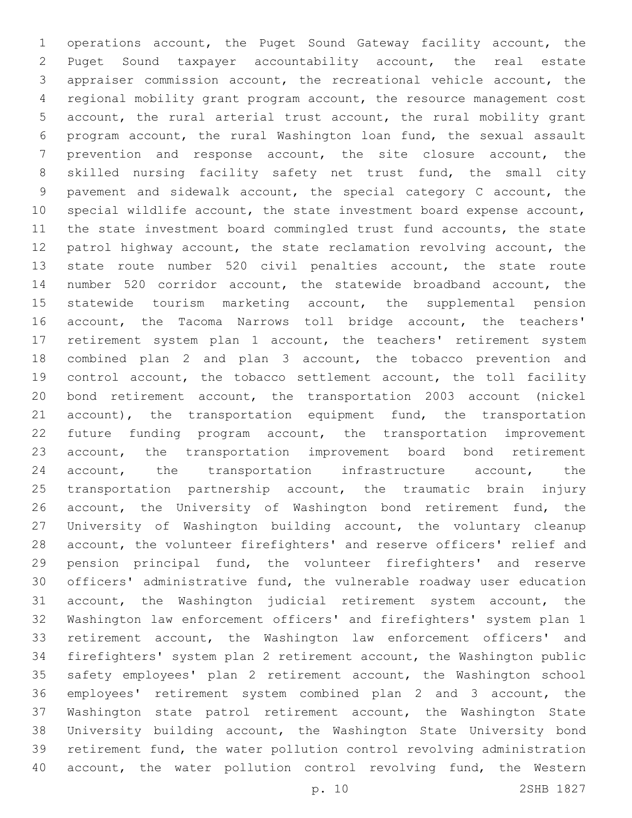operations account, the Puget Sound Gateway facility account, the Puget Sound taxpayer accountability account, the real estate appraiser commission account, the recreational vehicle account, the regional mobility grant program account, the resource management cost account, the rural arterial trust account, the rural mobility grant program account, the rural Washington loan fund, the sexual assault prevention and response account, the site closure account, the skilled nursing facility safety net trust fund, the small city pavement and sidewalk account, the special category C account, the special wildlife account, the state investment board expense account, the state investment board commingled trust fund accounts, the state patrol highway account, the state reclamation revolving account, the state route number 520 civil penalties account, the state route number 520 corridor account, the statewide broadband account, the statewide tourism marketing account, the supplemental pension account, the Tacoma Narrows toll bridge account, the teachers' retirement system plan 1 account, the teachers' retirement system combined plan 2 and plan 3 account, the tobacco prevention and control account, the tobacco settlement account, the toll facility bond retirement account, the transportation 2003 account (nickel 21 account), the transportation equipment fund, the transportation future funding program account, the transportation improvement account, the transportation improvement board bond retirement 24 account, the transportation infrastructure account, the transportation partnership account, the traumatic brain injury 26 account, the University of Washington bond retirement fund, the University of Washington building account, the voluntary cleanup account, the volunteer firefighters' and reserve officers' relief and pension principal fund, the volunteer firefighters' and reserve officers' administrative fund, the vulnerable roadway user education account, the Washington judicial retirement system account, the Washington law enforcement officers' and firefighters' system plan 1 retirement account, the Washington law enforcement officers' and firefighters' system plan 2 retirement account, the Washington public safety employees' plan 2 retirement account, the Washington school employees' retirement system combined plan 2 and 3 account, the Washington state patrol retirement account, the Washington State University building account, the Washington State University bond retirement fund, the water pollution control revolving administration 40 account, the water pollution control revolving fund, the Western